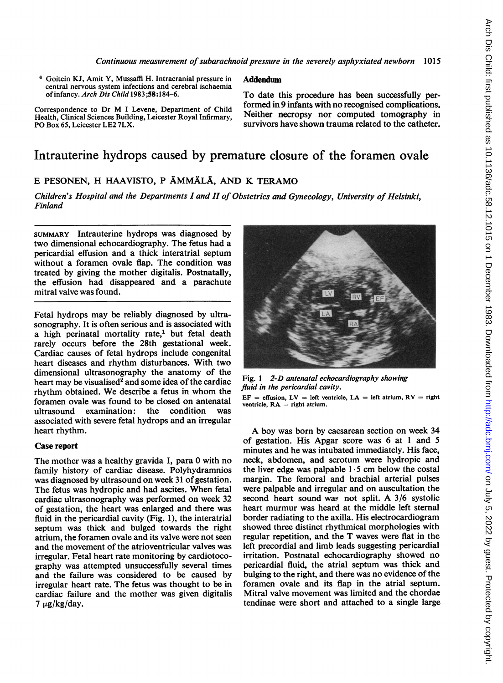<sup>6</sup> Goitein KJ, Amit Y, Mussaffi H. Intracranial pressure in central nervous system infections and cerebral ischaemia of infancy. Arch Dis Child 1983;58:184-6.

Addendum

Correspondence to Dr M <sup>I</sup> Levene, Department of Child Health, Clinical Sciences Building, Leicester Royal Infirmary, PO Box 65, Leicester LE2 7LX.

To date this procedure has been successfully performed in 9 infants with no recognised complications. Neither necropsy nor computed tomography in survivors have shown trauma related to the catheter.

# Intrauterine hydrops caused by premature closure of the foramen ovale

## E PESONEN, H HAAVISTO, <sup>P</sup> AMMALA, AND K TERAMO

Children's Hospital and the Departments I and II of Obstetrics and Gynecology, University of Helsinki, Finland

SUMMARY Intrauterine hydrops was diagnosed by two dimensional echocardiography. The fetus had a pericardial effusion and a thick interatrial septum without a foramen ovale flap. The condition was treated by giving the mother digitalis. Postnatally, the effusion had disappeared and a parachute mitral valve was found.

Fetal hydrops may be reliably diagnosed by ultrasonography. It is often serious and is associated with a high perinatal mortality rate,<sup>1</sup> but fetal death rarely occurs before the 28th gestational week. Cardiac causes of fetal hydrops include congenital heart diseases and rhythm disturbances. With two dimensional ultrasonography the anatomy of the heart may be visualised<sup>2</sup> and some idea of the cardiac rhythm obtained. We describe <sup>a</sup> fetus in whom the foramen ovale was found to be closed on antenatal ultrasound examination: the condition was associated with severe fetal hydrops and an irregular heart rhythm.

#### Case report

The mother was a healthy gravida I, para 0 with no family history of cardiac disease. Polyhydramnios was diagnosed by ultrasound on week 31 of gestation. The fetus was hydropic and had ascites. When fetal cardiac ultrasonography was performed on week 32 of gestation, the heart was enlarged and there was fluid in the pericardial cavity (Fig. 1), the interatrial septum was thick and bulged towards the right atrium, the foramen ovale and its valve were not seen and the movement of the atrioventricular valves was irregular. Fetal heart rate monitoring by cardiotocography was attempted unsuccessfully several times and the failure was considered to be caused by irregular heart rate. The fetus was thought to be in cardiac failure and the mother was given digitalis  $7 \mu g/kg/day.$ 



Fig. <sup>1</sup> 2-D antenatal echocardiography showing fluid in the pericardial cavity.  $EF = effusion, LV = left ventricle, LA = left atrium, RV = right$ ventricle,  $RA$  = right atrium.

A boy was born by caesarean section on week <sup>34</sup> of gestation. His Apgar score was 6 at <sup>1</sup> and 5 minutes and he was intubated immediately. His face, neck, abdomen, and scrotum were hydropic and the liver edge was palpable  $1.5$  cm below the costal margin. The femoral and brachial arterial pulses were palpable and irregular and on auscultation the second heart sound was not split. A 3/6 systolic heart murmur was heard at the middle left sternal border radiating to the axilla. His electrocardiogram showed three distinct rhythmical morphologies with regular repetition, and the T waves were flat in the left precordial and limb leads suggesting pericardial irritation. Postnatal echocardiography showed no pericardial fluid, the atrial septum was thick and bulging to the right, and there was no evidence of the foramen ovale and its flap in the atrial septum. Mitral valve movement was limited and the chordae tendinae were short and attached to a single large